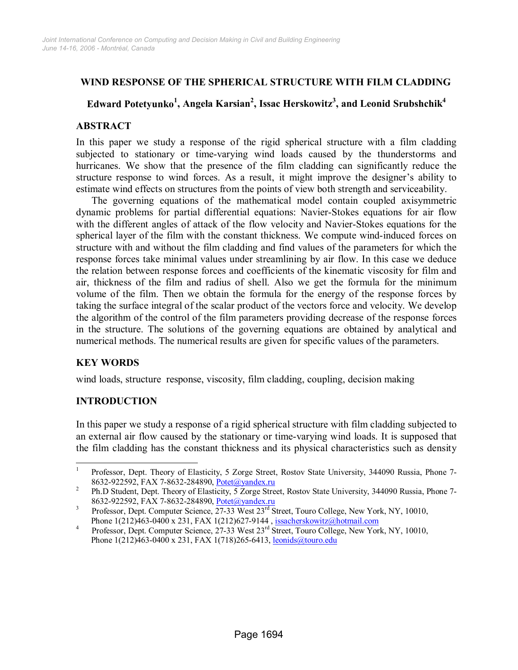## **WIND RESPONSE OF THE SPHERICAL STRUCTURE WITH FILM CLADDING**

# **Edward Potetyunko<sup>1</sup> , Angela Karsian<sup>2</sup> , Issac Herskowitz3 , and Leonid Srubshchik4**

#### **ABSTRACT**

In this paper we study a response of the rigid spherical structure with a film cladding subjected to stationary or time-varying wind loads caused by the thunderstorms and hurricanes. We show that the presence of the film cladding can significantly reduce the structure response to wind forces. As a result, it might improve the designer's ability to estimate wind effects on structures from the points of view both strength and serviceability.

The governing equations of the mathematical model contain coupled axisymmetric dynamic problems for partial differential equations: Navier-Stokes equations for air flow with the different angles of attack of the flow velocity and Navier-Stokes equations for the spherical layer of the film with the constant thickness. We compute wind-induced forces on structure with and without the film cladding and find values of the parameters for which the response forces take minimal values under streamlining by air flow. In this case we deduce the relation between response forces and coefficients of the kinematic viscosity for film and air, thickness of the film and radius of shell. Also we get the formula for the minimum volume of the film. Then we obtain the formula for the energy of the response forces by taking the surface integral of the scalar product of the vectors force and velocity. We develop the algorithm of the control of the film parameters providing decrease of the response forces in the structure. The solutions of the governing equations are obtained by analytical and numerical methods. The numerical results are given for specific values of the parameters.

### **KEY WORDS**

wind loads, structure response, viscosity, film cladding, coupling, decision making

### **INTRODUCTION**

In this paper we study a response of a rigid spherical structure with film cladding subjected to an external air flow caused by the stationary or time-varying wind loads. It is supposed that the film cladding has the constant thickness and its physical characteristics such as density

 $\overline{\phantom{a}}$ 1 Professor, Dept. Theory of Elasticity, 5 Zorge Street, Rostov State University, 344090 Russia, Phone 7- 8632-922592, FAX 7-8632-284890, <u>Potet@yandex.ru</u><br><sup>2</sup> Ph. D. Steday Davi Therman Flashing 5.7sees. Stu

Ph.D Student, Dept. Theory of Elasticity, 5 Zorge Street, Rostov State University, 344090 Russia, Phone 7- 8632-922592, FAX 7-8632-284890, <u>Potet@yandex.ru</u><br><sup>3</sup> Professor, Dant Computer Seignes, 27.22 West 23<sup>rd</sup> St

Professor, Dept. Computer Science, 27-33 West 23<sup>rd</sup> Street, Touro College, New York, NY, 10010, Phone 1(212)463-0400 x 231, FAX 1(212)627-9144, <u>issacherskowitz@hotmail.com</u><br><sup>4</sup> Professor Dart Caugustan Science, 27.22 West 22<sup>rd</sup> Street Tours Gallege Navy Van

Professor, Dept. Computer Science, 27-33 West 23<sup>rd</sup> Street, Touro College, New York, NY, 10010, Phone 1(212)463-0400 x 231, FAX 1(718)265-6413, leonids@touro.edu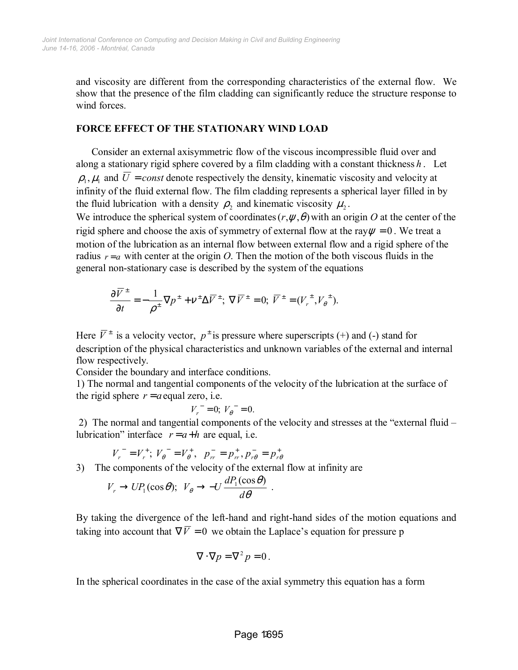and viscosity are different from the corresponding characteristics of the external flow. We show that the presence of the film cladding can significantly reduce the structure response to wind forces

#### **FORCE EFFECT OF THE STATIONARY WIND LOAD**

 Consider an external axisymmetric flow of the viscous incompressible fluid over and along a stationary rigid sphere covered by a film cladding with a constant thickness *h* . Let  $\rho_1, \mu_1$  and  $\overline{U}$  = *const* denote respectively the density, kinematic viscosity and velocity at infinity of the fluid external flow. The film cladding represents a spherical layer filled in by the fluid lubrication with a density  $\rho_2$  and kinematic viscosity  $\mu_2$ .

We introduce the spherical system of coordinates  $(r, \psi, \theta)$  with an origin O at the center of the rigid sphere and choose the axis of symmetry of external flow at the ray  $\psi = 0$ . We treat a motion of the lubrication as an internal flow between external flow and a rigid sphere of the radius  $r = a$  with center at the origin *O*. Then the motion of the both viscous fluids in the general non-stationary case is described by the system of the equations

$$
\frac{\partial \overline{V}^{\pm}}{\partial t} = -\frac{1}{\rho^{\pm}} \nabla p^{\pm} + v^{\pm} \Delta \overline{V}^{\pm}; \ \nabla \overline{V}^{\pm} = 0; \ \overline{V}^{\pm} = (V_r^{\pm}, V_\theta^{\pm}).
$$

Here  $\overline{V}^{\pm}$  is a velocity vector,  $p^{\pm}$  is pressure where superscripts (+) and (-) stand for description of the physical characteristics and unknown variables of the external and internal flow respectively.

Consider the boundary and interface conditions.

1) The normal and tangential components of the velocity of the lubrication at the surface of the rigid sphere  $r = a$  equal zero, i.e.

$$
V_r^- = 0; V_\theta^- = 0.
$$

2) The normal and tangential components of the velocity and stresses at the "external fluid  $$ lubrication" interface  $r = a+h$  are equal, i.e.

$$
V_r^- = V_r^+; \; V_\theta^- = V_\theta^+, \; \; p_{rr}^- = p_{rr}^+, p_{r\theta}^- = p_{r\theta}^+
$$

3) The components of the velocity of the external flow at infinity are

$$
V_r \to UP_1(\cos \theta)
$$
;  $V_{\theta} \to -U \frac{dP_1(\cos \theta)}{d\theta}$ .

By taking the divergence of the left-hand and right-hand sides of the motion equations and taking into account that  $\nabla \overline{V} = 0$  we obtain the Laplace's equation for pressure p

$$
\nabla \cdot \nabla p = \nabla^2 p = 0.
$$

In the spherical coordinates in the case of the axial symmetry this equation has a form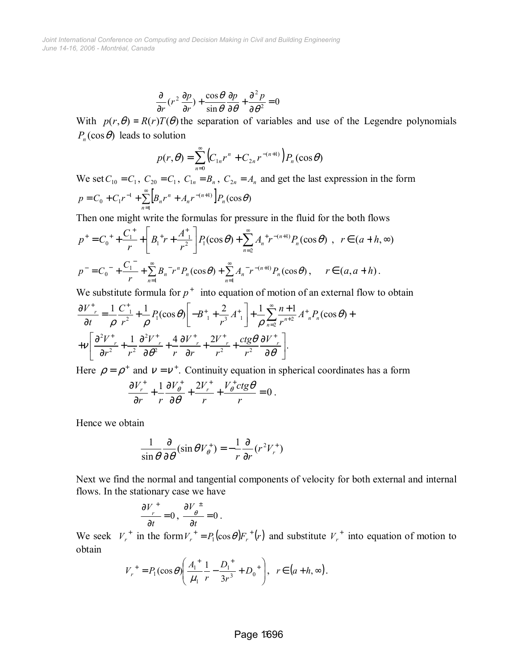$$
\frac{\partial}{\partial r}(r^2 \frac{\partial p}{\partial r}) + \frac{\cos \theta}{\sin \theta} \frac{\partial p}{\partial \theta} + \frac{\partial^2 p}{\partial \theta^2} = 0
$$

With  $p(r, \theta) = R(r)T(\theta)$  the separation of variables and use of the Legendre polynomials  $P_n(\cos\theta)$  leads to solution

$$
p(r,\theta) = \sum_{n=0}^{\infty} \left( C_{1n} r^n + C_{2n} r^{-(n+1)} \right) P_n(\cos \theta)
$$

We set  $C_{10} = C_1$ ,  $C_{20} = C_1$ ,  $C_{1n} = B_n$ ,  $C_{2n} = A_n$  and get the last expression in the form  $\left| B_{n} r^{n} + A_{n} r^{-(n+1)} \right| P_{n}(\cos \theta)$ 1  $\sum_{n=1}^{\infty} \left[ B_n r^n + A_n r^{-(n+1)} \right] P_n(\cos \theta)$  $p = C_0 + C_1 r^{-1} + \sum_{n=1}^{\infty} \left[ B_n r^n + A_n r^{-(n+1)} \right] P_n$  $=C_0 + C_1 r^{-1} + \sum_{n=0}^{\infty} |B_n r^n + A_n r^{-(n+1)}|$ 

Then one might write the formulas for pressure in the fluid for the both flows

$$
p^{+} = C_0^{+} + \frac{C_1^{+}}{r} + \left[ B_1^{+}r + \frac{A_1^{+}}{r^2} \right] P_1(\cos\theta) + \sum_{n=2}^{\infty} A_n^{+} r^{-(n+1)} P_n(\cos\theta) , \quad r \in (a+h,\infty)
$$
  

$$
p^{-} = C_0^{-} + \frac{C_1^{-}}{r} + \sum_{n=1}^{\infty} B_n^{-} r^n P_n(\cos\theta) + \sum_{n=1}^{\infty} A_n^{-} r^{-(n+1)} P_n(\cos\theta) , \quad r \in (a,a+h).
$$

We substitute formula for  $p^+$  into equation of motion of an external flow to obtain

$$
\frac{\partial V^+}{\partial t} = \frac{1}{\rho} \frac{C^+}{r^2} + \frac{1}{\rho} P_1(\cos \theta) \left[ -B^+ + \frac{2}{r^3} A^+ \right] + \frac{1}{\rho} \sum_{n=2}^{\infty} \frac{n+1}{r^{n+2}} A^+_{n} P_n(\cos \theta) +
$$
  
+ 
$$
+ V \left[ \frac{\partial^2 V^+}{\partial r^2} + \frac{1}{r^2} \frac{\partial^2 V^+}{\partial \theta^2} + \frac{4}{r} \frac{\partial V^+}{\partial r} + \frac{2V^+}{r^2} + \frac{ctg\theta}{r^2} \frac{\partial V^+}{\partial \theta} \right].
$$

Here  $\rho = \rho^+$  and  $v = v^+$ . Continuity equation in spherical coordinates has a form

$$
\frac{\partial V_r^+}{\partial r} + \frac{1}{r} \frac{\partial V_\theta^+}{\partial \theta} + \frac{2V_r^+}{r} + \frac{V_\theta^+ ctg\theta}{r} = 0.
$$

Hence we obtain

$$
\frac{1}{\sin \theta} \frac{\partial}{\partial \theta} (\sin \theta V_{\theta}^{+}) = -\frac{1}{r} \frac{\partial}{\partial r} (r^{2} V_{r}^{+})
$$

Next we find the normal and tangential components of velocity for both external and internal flows. In the stationary case we have

$$
\frac{\partial V}{\partial t}^+ = 0 \ , \ \frac{\partial V}{\partial t}^{\pm} = 0 \ .
$$

We seek  $V_r^+$  in the form  $V_r^+ = P_1(\cos \theta) F_r^+ (r)$  and substitute  $V_r^+$  into equation of motion to obtain

$$
V_r^+ = P_1(\cos \theta) \left( \frac{A_1^+}{\mu_1} \frac{1}{r} - \frac{D_1^+}{3r^3} + D_0^+ \right), \ \ r \in (a+h, \infty).
$$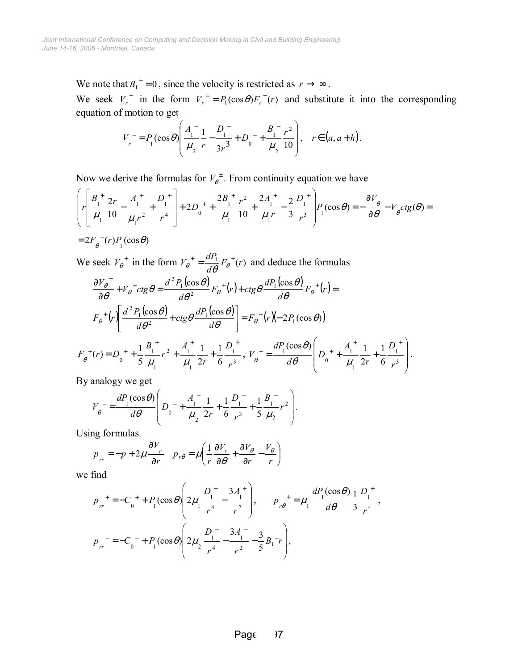We note that  $B_1^+ = 0$ , since the velocity is restricted as  $r \to \infty$ .

We seek  $V_r$  in the form  $V_r = P_1(\cos \theta) F_r(r)$  and substitute it into the corresponding equation of motion to get

$$
V_r^- = P_1(\cos\theta) \left( \frac{A_1^-}{\mu_2} \frac{1}{r} - \frac{D_1^-}{3r^3} + D_0^- + \frac{B_1^-}{\mu_2} \frac{r^2}{10} \right), \quad r \in (a, a+h).
$$

Now we derive the formulas for  $V_{\theta}^{\pm}$ . From continuity equation we have

$$
\left(r\left[\frac{B_{1}^{+}}{\mu_{1}}\frac{2r}{10}-\frac{A_{1}^{+}}{\mu_{1}r^{2}}+\frac{D_{1}^{+}}{r^{4}}\right]+2D_{0}^{+}+\frac{2B_{1}^{+}}{\mu_{1}}\frac{r^{2}}{10}+\frac{2A_{1}^{+}}{\mu_{1}r}-\frac{2}{3}\frac{D_{1}^{+}}{r^{3}}\right)P_{1}(\cos\theta)=-\frac{\partial V_{\theta}}{\partial\theta}-V_{\theta}ctg(\theta)=
$$
  
=  $2F_{\theta}^{+}(r)P_{1}(\cos\theta)$ 

We seek  $V_{\theta}^+$  in the form  $V_{\theta}^+ = \frac{a r_1}{d \theta} F_{\theta}^+ (r)$  $V_{\theta}^{\dagger} = \frac{dP_1}{d\theta} F_{\theta}^{\dagger}(r)$  and deduce the formulas

$$
\frac{\partial V_{\theta}^{+}}{\partial \theta} + V_{\theta}^{+} ctg \theta = \frac{d^{2} P_{1}(\cos \theta)}{d\theta^{2}} F_{\theta}^{+}(r) + ctg \theta \frac{dP_{1}(\cos \theta)}{d\theta} F_{\theta}^{+}(r) =
$$
\n
$$
F_{\theta}^{+}(r) \left[ \frac{d^{2} P_{1}(\cos \theta)}{d\theta^{2}} + ctg \theta \frac{dP_{1}(\cos \theta)}{d\theta} \right] = F_{\theta}^{+}(r) \left( -2P_{1}(\cos \theta) \right)
$$
\n
$$
F_{\theta}^{+}(r) = D_{0}^{+} + \frac{1}{5} \frac{B_{1}^{+}}{\mu_{1}} r^{2} + \frac{A_{1}^{+}}{\mu_{1}} \frac{1}{2r} + \frac{1}{6} \frac{D_{1}^{+}}{r^{3}}, \ V_{\theta}^{+} = \frac{dP_{1}(\cos \theta)}{d\theta} \left( D_{0}^{+} + \frac{A_{1}^{+}}{\mu_{1}} \frac{1}{2r} + \frac{1}{6} \frac{D_{1}^{+}}{r^{3}} \right).
$$

By analogy we get

$$
V_{\theta}^{-} = \frac{dP_1(\cos\theta)}{d\theta} \left( D_0^{-} + \frac{A_1^{-}}{\mu_2} \frac{1}{2r} + \frac{1}{6} \frac{D_1^{-}}{r^3} + \frac{1}{5} \frac{B_1^{-}}{\mu_2} r^2 \right).
$$

Using formulas

$$
p_{rr} = -p + 2\mu \frac{\partial V_r}{\partial r} \quad p_{r\theta} = \mu \left( \frac{1}{r} \frac{\partial V_r}{\partial \theta} + \frac{\partial V_{\theta}}{\partial r} - \frac{V_{\theta}}{r} \right)
$$

we find

$$
p_{rr}^+ = -C_0^+ + P_1(\cos\theta) \left( 2\mu_1 \frac{D_1^+}{r^4} - \frac{3A_1^+}{r^2} \right), \qquad p_{r\theta}^+ = \mu_1 \frac{dP_1(\cos\theta)}{d\theta} \frac{1}{3} \frac{D_1^+}{r^4},
$$
  

$$
p_{rr}^- = -C_0^- + P_1(\cos\theta) \left( 2\mu_2 \frac{D_1^-}{r^4} - \frac{3A_1^-}{r^2} - \frac{3}{5}B_1^- r \right),
$$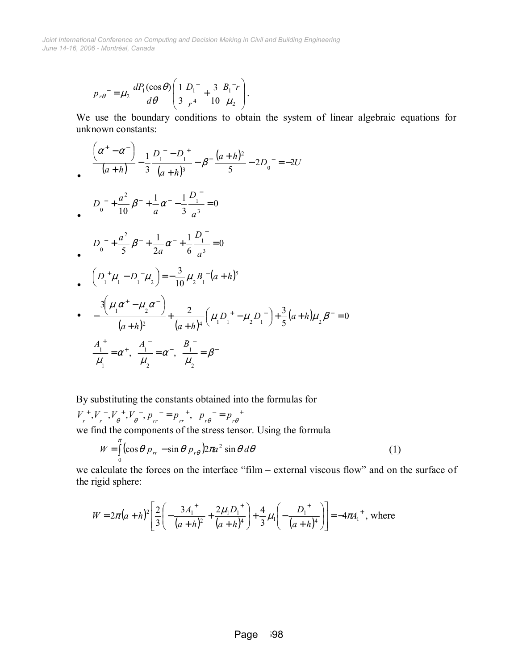$$
p_{r\theta}^{\dagger} = \mu_2 \frac{dP_1(\cos\theta)}{d\theta} \left( \frac{1}{3} \frac{D_1}{r^4} + \frac{3}{10} \frac{B_1^{-1}r}{\mu_2} \right).
$$

We use the boundary conditions to obtain the system of linear algebraic equations for unknown constants:

$$
\left(\frac{\alpha^+ - \alpha^-}{(a+h)}\right) - \frac{1}{3} \frac{D_1^- - D_1^+}{(a+h)^3} - \beta^- \frac{(a+h)^2}{5} - 2D_0^- = -2U
$$

$$
D_0^- + \frac{a^2}{10} \beta^- + \frac{1}{a} \alpha^- - \frac{1}{3} \frac{D_1^-}{a^3} = 0
$$

$$
D_0^- + \frac{a^2}{5} \beta^- + \frac{1}{2a} \alpha^- + \frac{1}{6} \frac{D_1^-}{a^3} = 0
$$

$$
\int_{0}^{a} \left( D_{1}^{+} \mu_{1} - D_{1}^{-} \mu_{2} \right) = -\frac{3}{10} \mu_{2} B_{1}^{-} (a+h)^{5}
$$

• 
$$
\frac{3(\mu_1 \alpha^+ - \mu_2 \alpha^-)}{(a+h)^2} + \frac{2}{(a+h)^4} (\mu_1 D_1^+ - \mu_2 D_1^-) + \frac{3}{5}(a+h)\mu_2 \beta^- = 0
$$
  

$$
\frac{A_1^+}{\mu_1} = \alpha^+, \quad \frac{A_1^-}{\mu_2} = \alpha^-, \quad \frac{B_1^-}{\mu_2} = \beta^-
$$

By substituting the constants obtained into the formulas for

$$
V_r^+, V_r^-, V_\theta^+, V_\theta^-, p_{rr}^- = p_{rr}^+, p_{r\theta}^- = p_{r\theta}^+
$$
  
we find the components of the stress tensor. Using the formula

$$
W = \int_{0}^{\pi} \left( \cos \theta \ p_{rr} - \sin \theta \ p_{r\theta} \right) 2\pi a^2 \sin \theta \ d\theta \tag{1}
$$

we calculate the forces on the interface "film  $-$  external viscous flow" and on the surface of the rigid sphere:

$$
W = 2\pi (a+h)^2 \left[ \frac{2}{3} \left( -\frac{3A_1^2}{(a+h)^2} + \frac{2\mu_1 D_1^2}{(a+h)^4} \right) + \frac{4}{3} \mu_1 \left( -\frac{D_1^2}{(a+h)^4} \right) \right] = -4\pi A_1^2
$$
, where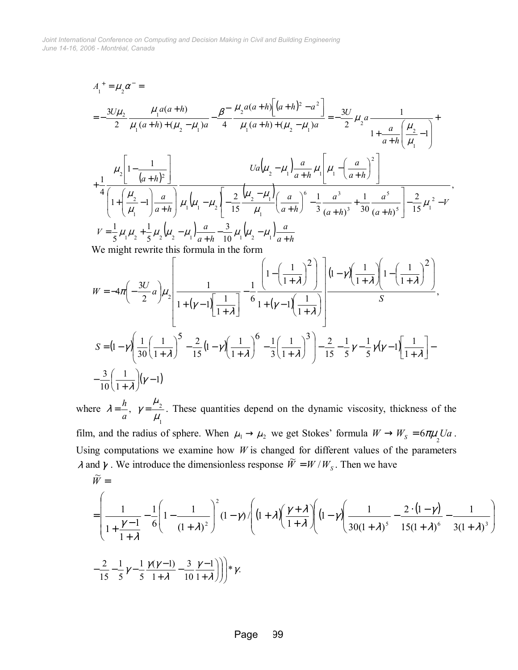$$
A_{1}^{+} = \mu_{2}\alpha^{-} =
$$
\n
$$
= -\frac{3U\mu_{2}}{2} \frac{\mu_{1}a(a+h)}{\mu_{1}(a+h)+(u_{2}-\mu_{1})a} - \frac{\beta^{-}}{4} \frac{\mu_{2}a(a+h)\left[(a+h)^{2}-a^{2}\right]}{\mu_{1}(a+h)+(u_{2}-\mu_{1})a} = -\frac{3U}{2} \mu_{2}a \frac{1}{1+\frac{a}{a+h}\left(\frac{\mu_{2}}{\mu_{1}}-1\right)} + \frac{\mu_{2}\left[1-\frac{1}{(a+h)^{2}}\right]}{1+\frac{a}{a+h}\left(\frac{\mu_{2}}{\mu_{1}}-1\right)} + \frac{Ua\left(\mu_{2}-\mu_{1}\right)a}{4}\frac{Ua\left(\mu_{2}-\mu_{1}\right)\frac{a}{a+h}\mu_{1}\left[\mu_{1}-\left(\frac{a}{a+h}\right)^{2}\right]}{1+\left(\frac{\mu_{2}}{\mu_{1}}-1\right)\frac{a}{a+h}\mu_{1}\left(\mu_{1}-\mu_{2}\right)\left[-\frac{2}{15}\frac{(\mu_{2}-\mu_{1})}{\mu_{1}}\left(\frac{a}{a+h}\right)^{6}-\frac{1}{3}\frac{a^{3}}{(a+h)^{3}}+\frac{1}{30}\frac{a^{5}}{(a+h)^{5}}\right]-\frac{2}{15}\mu_{1}^{2}-V},
$$
\n
$$
V = \frac{1}{5}\mu_{1}\mu_{2} + \frac{1}{5}\mu_{2}\left(\mu_{2}-\mu_{1}\right)\frac{a}{a+h} - \frac{3}{10}\mu_{1}\left(\mu_{2}-\mu_{1}\right)\frac{a}{a+h}
$$
\nWe might rewrite this formula in the form\n
$$
\left[\frac{1}{1-\left(\frac{1}{1-\mu_{2}}\right)^{2}}\right]_{(1-\mu)}\left[\frac{1}{1-\left(\frac{1}{1-\mu_{2}}\right)^{2}}\right]
$$

$$
W = -4\pi \left(-\frac{3U}{2}a\right)\mu_{2}\left[\frac{1}{1+(\gamma-1)\left[\frac{1}{1+\lambda}\right]} - \frac{1}{6}\frac{\left(1-\left(\frac{1}{1+\lambda}\right)^{2}\right)}{1+(\gamma-1)\left[\frac{1}{1+\lambda}\right]}\right] \frac{(1-\gamma)\left(\frac{1}{1+\lambda}\right)\left(1-\left(\frac{1}{1+\lambda}\right)^{2}\right)}{S}
$$
  

$$
S = (1-\gamma)\left(\frac{1}{30}\left(\frac{1}{1+\lambda}\right)^{5} - \frac{2}{15}(1-\gamma)\left(\frac{1}{1+\lambda}\right)^{6} - \frac{1}{3}\left(\frac{1}{1+\lambda}\right)^{3}\right) - \frac{2}{15} - \frac{1}{5}\gamma - \frac{1}{5}\gamma(\gamma-1)\left[\frac{1}{1+\lambda}\right] - \frac{3}{10}\left(\frac{1}{1+\lambda}\right)(\gamma-1)
$$

,

where 1  $\gamma = \frac{r^2}{2}$  $\lambda = \frac{h}{a}$ ,  $\gamma = \frac{\mu_2}{\mu_1}$ . These quantities depend on the dynamic viscosity, thickness of the

film, and the radius of sphere. When  $\mu_1 \rightarrow \mu_2$  we get Stokes' formula  $W \rightarrow W_s = 6\pi\mu_2 Ua$ . Using computations we examine how  $W$  is changed for different values of the parameters  $λ$  and  $γ$ . We introduce the dimensionless response  $\widetilde{W} = W/W_s$ . Then we have

$$
\widetilde{W} = \left( \frac{1}{1 + \frac{\gamma - 1}{1 + \lambda}} - \frac{1}{6} \left( 1 - \frac{1}{(1 + \lambda)^2} \right)^2 (1 - \gamma) \left( 1 + \lambda \left( \frac{\gamma + \lambda}{1 + \lambda} \right) \left( 1 - \gamma \right) \left( \frac{1}{30(1 + \lambda)^5} - \frac{2 \cdot (1 - \gamma)}{15(1 + \lambda)^6} - \frac{1}{3(1 + \lambda)^3} \right) \right) \right)
$$
  

$$
- \frac{2}{15} - \frac{1}{5} \gamma - \frac{1}{5} \frac{\gamma(\gamma - 1)}{1 + \lambda} - \frac{3}{10} \frac{\gamma - 1}{1 + \lambda} \right) \Bigg) \ast \gamma.
$$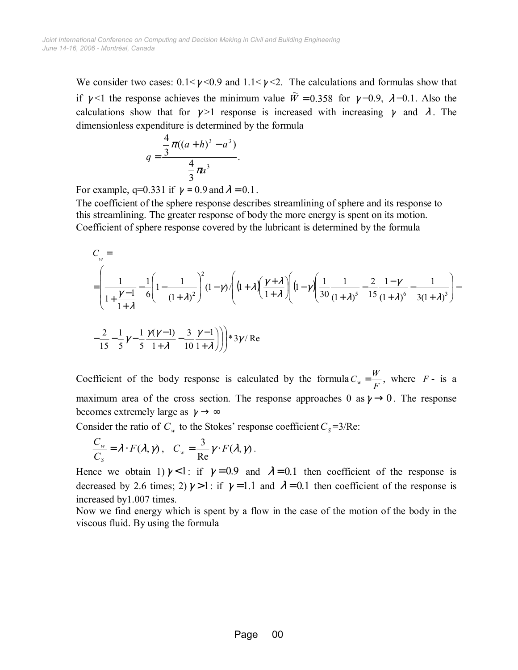We consider two cases:  $0.1 < \gamma < 0.9$  and  $1.1 < \gamma < 2$ . The calculations and formulas show that if  $\gamma$  <1 the response achieves the minimum value  $\widetilde{W} = 0.358$  for  $\gamma = 0.9$ ,  $\lambda = 0.1$ . Also the calculations show that for  $\gamma > 1$  response is increased with increasing  $\gamma$  and  $\lambda$ . The dimensionless expenditure is determined by the formula

$$
q = \frac{\frac{4}{3}\pi((a+h)^3 - a^3)}{\frac{4}{3}\pi a^3}.
$$

For example, q=0.331 if  $\gamma = 0.9$  and  $\lambda = 0.1$ .

The coefficient of the sphere response describes streamlining of sphere and its response to this streamlining. The greater response of body the more energy is spent on its motion. Coefficient of sphere response covered by the lubricant is determined by the formula

$$
C_w =
$$
\n
$$
= \left(\frac{1}{1 + \frac{\gamma - 1}{1 + \lambda}} - \frac{1}{6} \left(1 - \frac{1}{(1 + \lambda)^2}\right)^2 (1 - \gamma) \left(1 + \lambda \left(\frac{\gamma + \lambda}{1 + \lambda}\right) \left(1 - \gamma \left(\frac{1}{30}\frac{1}{(1 + \lambda)^5} - \frac{2}{15}\frac{1 - \gamma}{(1 + \lambda)^6} - \frac{1}{3(1 + \lambda)^3}\right)\right)\right)\right)
$$
\n
$$
-\frac{2}{15} - \frac{1}{5}\gamma - \frac{1}{5}\frac{\gamma(\gamma - 1)}{1 + \lambda} - \frac{3}{10}\frac{\gamma - 1}{1 + \lambda}\right)\right) * 3\gamma/\text{Re}
$$

Coefficient of the body response is calculated by the formula  $C_w = \frac{W}{F}$ , where *F* - is a maximum area of the cross section. The response approaches 0 as  $\gamma \rightarrow 0$ . The response becomes extremely large as  $\gamma \rightarrow \infty$ 

Consider the ratio of  $C_w$  to the Stokes' response coefficient  $C_s = 3/Re$ :

$$
\frac{C_w}{C_S} = \lambda \cdot F(\lambda, \gamma) , \quad C_w = \frac{3}{\text{Re}} \gamma \cdot F(\lambda, \gamma) .
$$

Hence we obtain 1)  $\gamma$  < 1: if  $\gamma$  = 0.9 and  $\lambda$  = 0.1 then coefficient of the response is decreased by 2.6 times; 2)  $\gamma > 1$ : if  $\gamma = 1.1$  and  $\lambda = 0.1$  then coefficient of the response is increased by1.007 times.

Now we find energy which is spent by a flow in the case of the motion of the body in the viscous fluid. By using the formula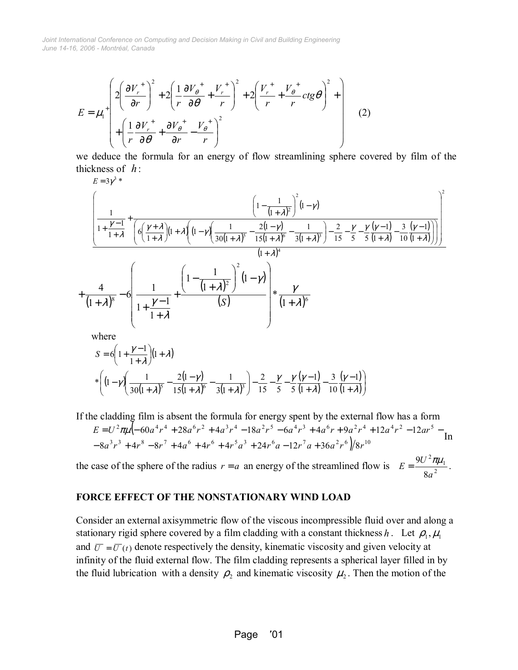$$
E = \mu_1^+ \left( 2 \left( \frac{\partial V_r^+}{\partial r} \right)^2 + 2 \left( \frac{1}{r} \frac{\partial V_\theta^+}{\partial \theta} + \frac{V_r^+}{r} \right)^2 + 2 \left( \frac{V_r^+}{r} + \frac{V_\theta^+}{r} ctg\theta \right)^2 + \left( \frac{1}{r} \frac{\partial V_r^+}{\partial \theta} + \frac{\partial V_\theta^+}{\partial r} - \frac{V_\theta^+}{r} \right)^2 \right) \tag{2}
$$

we deduce the formula for an energy of flow streamlining sphere covered by film of the thickness of *h* :

$$
E = 3\gamma^{3} * \left(\frac{1}{1 + \frac{\gamma - 1}{1 + \lambda}} + \frac{\left(1 - \frac{1}{(1 + \lambda)^{2}}\right)^{2}(1 - \gamma)}{\left(6\left(\frac{\gamma + \lambda}{1 + \lambda}\right)(1 + \lambda)\left(1 - \gamma\left(\frac{1}{30(1 + \lambda)^{5}} - \frac{2(1 - \gamma)}{15(1 + \lambda)^{6}} - \frac{1}{3(1 + \lambda)^{3}}\right) - \frac{2}{15} - \frac{\gamma}{5} - \frac{\gamma}{5}\left(\frac{\gamma - 1}{1 + \lambda}\right) - \frac{3}{10}\left(\frac{\gamma - 1}{1 + \lambda}\right)\right)}{1 + \lambda^{4}}
$$
\n
$$
+ \frac{4}{(1 + \lambda)^{8}} - 6\left(\frac{1}{1 + \frac{\gamma - 1}{1 + \lambda}} + \frac{\left(1 - \frac{1}{(1 + \lambda)^{2}}\right)^{2}(1 - \gamma)}{\left(s\right)}\right) * \frac{\gamma}{(1 + \lambda)^{6}}
$$
\nwhere

where

$$
S = 6\left(1 + \frac{\gamma - 1}{1 + \lambda}\right)\left(1 + \lambda\right)
$$
  
\*
$$
\left(\left(1 - \gamma\right)\left(\frac{1}{30\left(1 + \lambda\right)^{5}} - \frac{2(1 - \gamma)}{15\left(1 + \lambda\right)^{6}} - \frac{1}{3(1 + \lambda)^{3}}\right) - \frac{2}{15} - \frac{\gamma}{5} - \frac{\gamma}{5} \frac{(\gamma - 1)}{5(1 + \lambda)} - \frac{3}{10} \frac{(\gamma - 1)}{(1 + \lambda)}\right)
$$

If the cladding film is absent the formula for energy spent by the external flow has a form (  $3r^3 + 4r^8 - 8r^7 + 4a^6 + 4r^6 + 4r^5a^3 + 24r^6a - 12r^7a + 36a^2r^6)/8r^{10}$  $\frac{2\pi u}{\epsilon 0}$   $\frac{60a^4u^4+29a^6u^2+4a^3u^4+19a^2u^5}{2}$   $\frac{6a^4u^3+4a^6u+9a^2u^4+12a^4u^2+12a^5u^5}{2}$  $8a^3r^3 + 4r^8 - 8r^7 + 4a^6 + 4r^6 + 4r^5a^3 + 24r^6a - 12r^7a + 36a^2r^6)/8$  $60a^4r^4 + 28a^6r^2 + 4a^3r^4 - 18a^2r^5 - 6a^4r^3 + 4a^6r + 9a^2r^4 + 12a^4r^2 - 12$  $a^{3}r^{3} + 4r^{8} - 8r^{7} + 4a^{6} + 4r^{6} + 4r^{5}a^{3} + 24r^{6}a - 12r^{7}a + 36a^{2}r^{6}$  |/8r  $E = U^2 \pi \mu$   $\left(-60a^4r^4 + 28a^6r^2 + 4a^3r^4 - 18a^2r^5 - 6a^4r^3 + 4a^6r + 9a^2r^4 + 12a^4r^2 - 12ar^4r^2\right)$  $-8a^3r^3 + 4r^8 - 8r^7 + 4a^6 + 4r^6 + 4r^5a^3 + 24r^6a - 12r^7a +$  $= U^2 \pi \mu (-60a^4r^4 + 28a^6r^2 + 4a^3r^4 - 18a^2r^5 - 6a^4r^3 + 4a^6r + 9a^2r^4 + 12a^4r^2 - 12ar^5 -$ <br>In

the case of the sphere of the radius  $r = a$  an energy of the streamlined flow is  $E = \frac{9U^2 \pi \mu_1}{8\sigma^2}$ 8 9 *a*  $E = \frac{9U^2 \pi \mu_1}{\sigma^2}$ .

#### **FORCE EFFECT OF THE NONSTATIONARY WIND LOAD**

Consider an external axisymmetric flow of the viscous incompressible fluid over and along a stationary rigid sphere covered by a film cladding with a constant thickness *h*. Let  $\rho_1$ ,  $\mu_1$ and  $\overline{U} = \overline{U}(t)$  denote respectively the density, kinematic viscosity and given velocity at infinity of the fluid external flow. The film cladding represents a spherical layer filled in by the fluid lubrication with a density  $\rho_2$  and kinematic viscosity  $\mu_2$ . Then the motion of the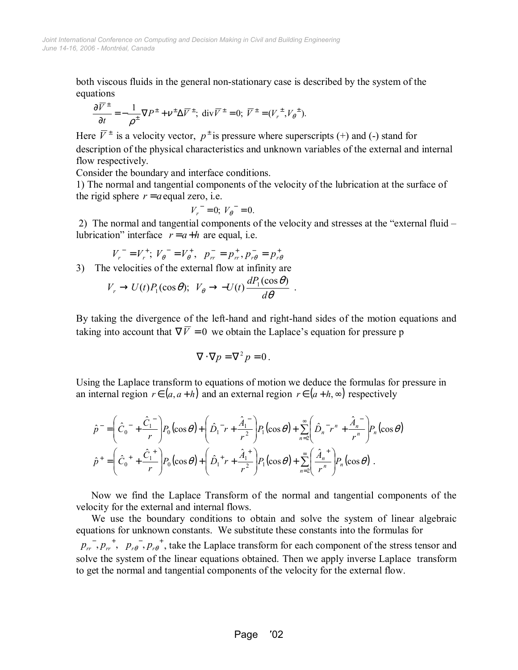both viscous fluids in the general non-stationary case is described by the system of the equations

$$
\frac{\partial \overline{V}^{\pm}}{\partial t} = -\frac{1}{\rho^{\pm}} \nabla P^{\pm} + \nu^{\pm} \Delta \overline{V}^{\pm}; \text{ div } \overline{V}^{\pm} = 0; \ \overline{V}^{\pm} = (V_r^{\pm}, V_\theta^{\pm}).
$$

Here  $\overline{V}^{\pm}$  is a velocity vector,  $p^{\pm}$  is pressure where superscripts (+) and (-) stand for description of the physical characteristics and unknown variables of the external and internal flow respectively.

Consider the boundary and interface conditions.

1) The normal and tangential components of the velocity of the lubrication at the surface of the rigid sphere  $r = a$  equal zero, i.e.

$$
V_r^- = 0; V_\theta^- = 0.
$$

2) The normal and tangential components of the velocity and stresses at the "external fluid  $$ lubrication" interface  $r = a+h$  are equal, i.e.

$$
V_r^- = V_r^+; \; V_\theta^- = V_\theta^+, \; \; p_{rr}^- = p_{rr}^+, p_{r\theta}^- = p_{r\theta}^+
$$

3) The velocities of the external flow at infinity are

$$
V_r \to U(t)P_1(\cos\theta); \ \ V_\theta \to -U(t)\frac{dP_1(\cos\theta)}{d\theta} \ .
$$

By taking the divergence of the left-hand and right-hand sides of the motion equations and taking into account that  $\nabla \overline{V} = 0$  we obtain the Laplace's equation for pressure p

$$
\nabla \cdot \nabla p = \nabla^2 p = 0.
$$

Using the Laplace transform to equations of motion we deduce the formulas for pressure in an internal region  $r \in (a, a+h)$  and an external region  $r \in (a+h, \infty)$  respectively

$$
\hat{p}^{-} = \left(\hat{C}_{0}^{-} + \frac{\hat{C}_{1}^{-}}{r}\right) P_{0}(\cos \theta) + \left(\hat{D}_{1}^{-}r + \frac{\hat{A}_{1}^{-}}{r^{2}}\right) P_{1}(\cos \theta) + \sum_{n=2}^{\infty} \left(\hat{D}_{n}^{-}r^{n} + \frac{\hat{A}_{n}^{-}}{r^{n}}\right) P_{n}(\cos \theta)
$$
\n
$$
\hat{p}^{+} = \left(\hat{C}_{0}^{+} + \frac{\hat{C}_{1}^{+}}{r}\right) P_{0}(\cos \theta) + \left(\hat{D}_{1}^{+}r + \frac{\hat{A}_{1}^{+}}{r^{2}}\right) P_{1}(\cos \theta) + \sum_{n=2}^{\infty} \left(\frac{\hat{A}_{n}^{+}}{r^{n}}\right) P_{n}(\cos \theta).
$$

Now we find the Laplace Transform of the normal and tangential components of the velocity for the external and internal flows.

We use the boundary conditions to obtain and solve the system of linear algebraic equations for unknown constants. We substitute these constants into the formulas for

 $p_{rr}^-, p_{rr}^+, p_{r\theta}^-, p_{r\theta}^+$ , take the Laplace transform for each component of the stress tensor and solve the system of the linear equations obtained. Then we apply inverse Laplace transform to get the normal and tangential components of the velocity for the external flow.